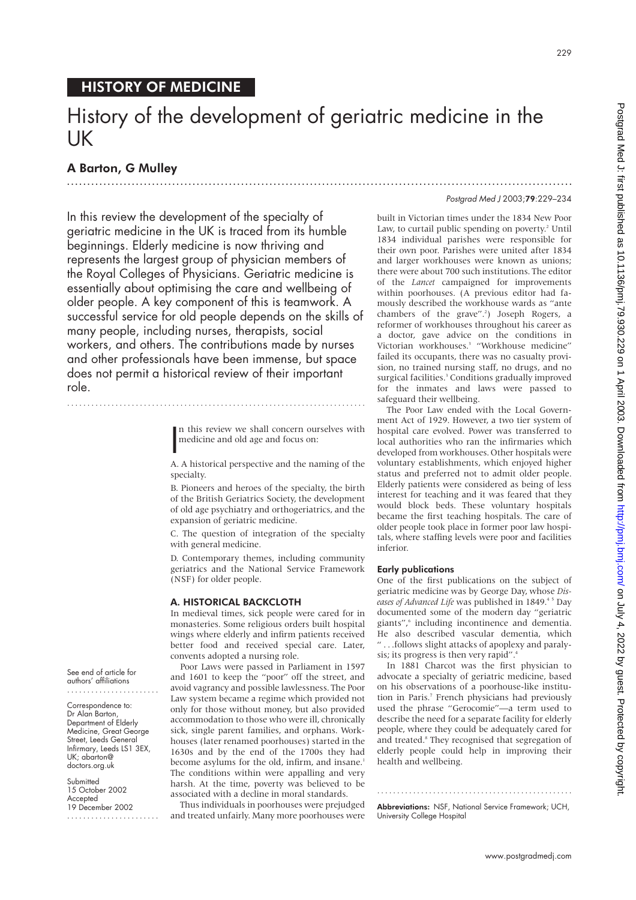# HISTORY OF MEDICINE

# History of the development of geriatric medicine in the UK

.............................................................................................................................

# A Barton, G Mulley

In this review the development of the specialty of geriatric medicine in the UK is traced from its humble beginnings. Elderly medicine is now thriving and represents the largest group of physician members of the Royal Colleges of Physicians. Geriatric medicine is essentially about optimising the care and wellbeing of older people. A key component of this is teamwork. A successful service for old people depends on the skills of many people, including nurses, therapists, social workers, and others. The contributions made by nurses and other professionals have been immense, but space does not permit a historical review of their important role.

..........................................................................

I n this review we shall concern ourselves with medicine and old age and focus on:

A. A historical perspective and the naming of the specialty.

B. Pioneers and heroes of the specialty, the birth of the British Geriatrics Society, the development of old age psychiatry and orthogeriatrics, and the expansion of geriatric medicine.

C. The question of integration of the specialty with general medicine.

D. Contemporary themes, including community geriatrics and the National Service Framework (NSF) for older people.

#### A. HISTORICAL BACKCLOTH

In medieval times, sick people were cared for in monasteries. Some religious orders built hospital wings where elderly and infirm patients received better food and received special care. Later, convents adopted a nursing role.

Poor Laws were passed in Parliament in 1597 and 1601 to keep the "poor" off the street, and avoid vagrancy and possible lawlessness. The Poor Law system became a regime which provided not only for those without money, but also provided accommodation to those who were ill, chronically sick, single parent families, and orphans. Workhouses (later renamed poorhouses) started in the 1630s and by the end of the 1700s they had become asylums for the old, infirm, and insane.<sup>1</sup> The conditions within were appalling and very harsh. At the time, poverty was believed to be associated with a decline in moral standards.

Thus individuals in poorhouses were prejudged and treated unfairly. Many more poorhouses were

#### *Postgrad Med J* 2003;79:229–234

built in Victorian times under the 1834 New Poor Law, to curtail public spending on poverty.<sup>2</sup> Until 1834 individual parishes were responsible for their own poor. Parishes were united after 1834 and larger workhouses were known as unions; there were about 700 such institutions. The editor of the *Lancet* campaigned for improvements within poorhouses. (A previous editor had famously described the workhouse wards as "ante chambers of the grave".<sup>2</sup>) Joseph Rogers, a reformer of workhouses throughout his career as a doctor, gave advice on the conditions in Victorian workhouses.3 "Workhouse medicine" failed its occupants, there was no casualty provision, no trained nursing staff, no drugs, and no surgical facilities.<sup>3</sup> Conditions gradually improved for the inmates and laws were passed to safeguard their wellbeing.

The Poor Law ended with the Local Government Act of 1929. However, a two tier system of hospital care evolved. Power was transferred to local authorities who ran the infirmaries which developed from workhouses. Other hospitals were voluntary establishments, which enjoyed higher status and preferred not to admit older people. Elderly patients were considered as being of less interest for teaching and it was feared that they would block beds. These voluntary hospitals became the first teaching hospitals. The care of older people took place in former poor law hospitals, where staffing levels were poor and facilities inferior.

#### Early publications

University College Hospital

One of the first publications on the subject of geriatric medicine was by George Day, whose *Dis*eases of Advanced Life was published in 1849.<sup>45</sup> Day documented some of the modern day "geriatric giants",<sup>6</sup> including incontinence and dementia. He also described vascular dementia, which " . . .follows slight attacks of apoplexy and paralysis; its progress is then very rapid".

In 1881 Charcot was the first physician to advocate a specialty of geriatric medicine, based on his observations of a poorhouse-like institution in Paris.<sup>7</sup> French physicians had previously used the phrase "Gerocomie"—a term used to describe the need for a separate facility for elderly people, where they could be adequately cared for and treated.<sup>8</sup> They recognised that segregation of elderly people could help in improving their health and wellbeing.

................................................. Abbreviations: NSF, National Service Framework; UCH,

www.postgradmedj.com

See end of article for authors' affiliations .......................

Correspondence to: Dr Alan Barton, Department of Elderly Medicine, Great George Street, Leeds General Infirmary, Leeds LS1 3EX, UK; abarton@ doctors.org.uk

Submitted 15 October 2002 Accepted 19 December 2002 .......................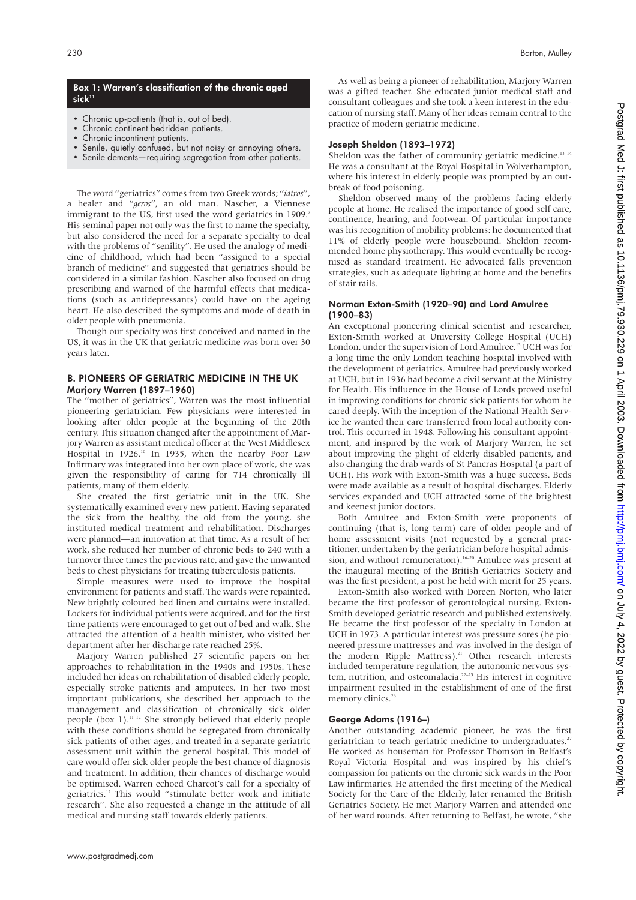#### Box 1: Warren's classification of the chronic aged  $sick<sup>11</sup>$

- Chronic up-patients (that is, out of bed).
- Chronic continent bedridden patients.
- Chronic incontinent patients.
- Senile, quietly confused, but not noisy or annoying others.
- Senile dements—requiring segregation from other patients.

The word "geriatrics" comes from two Greek words; "*iatros*", a healer and "*geros*", an old man. Nascher, a Viennese immigrant to the US, first used the word geriatrics in 1909.9 His seminal paper not only was the first to name the specialty, but also considered the need for a separate specialty to deal with the problems of "senility". He used the analogy of medicine of childhood, which had been "assigned to a special branch of medicine" and suggested that geriatrics should be considered in a similar fashion. Nascher also focused on drug prescribing and warned of the harmful effects that medications (such as antidepressants) could have on the ageing heart. He also described the symptoms and mode of death in older people with pneumonia.

Though our specialty was first conceived and named in the US, it was in the UK that geriatric medicine was born over 30 years later.

# B. PIONEERS OF GERIATRIC MEDICINE IN THE UK Marjory Warren (1897–1960)

The "mother of geriatrics", Warren was the most influential pioneering geriatrician. Few physicians were interested in looking after older people at the beginning of the 20th century. This situation changed after the appointment of Marjory Warren as assistant medical officer at the West Middlesex Hospital in 1926.<sup>10</sup> In 1935, when the nearby Poor Law Infirmary was integrated into her own place of work, she was given the responsibility of caring for 714 chronically ill patients, many of them elderly.

She created the first geriatric unit in the UK. She systematically examined every new patient. Having separated the sick from the healthy, the old from the young, she instituted medical treatment and rehabilitation. Discharges were planned—an innovation at that time. As a result of her work, she reduced her number of chronic beds to 240 with a turnover three times the previous rate, and gave the unwanted beds to chest physicians for treating tuberculosis patients.

Simple measures were used to improve the hospital environment for patients and staff. The wards were repainted. New brightly coloured bed linen and curtains were installed. Lockers for individual patients were acquired, and for the first time patients were encouraged to get out of bed and walk. She attracted the attention of a health minister, who visited her department after her discharge rate reached 25%.

Marjory Warren published 27 scientific papers on her approaches to rehabilitation in the 1940s and 1950s. These included her ideas on rehabilitation of disabled elderly people, especially stroke patients and amputees. In her two most important publications, she described her approach to the management and classification of chronically sick older people (box 1).11 12 She strongly believed that elderly people with these conditions should be segregated from chronically sick patients of other ages, and treated in a separate geriatric assessment unit within the general hospital. This model of care would offer sick older people the best chance of diagnosis and treatment. In addition, their chances of discharge would be optimised. Warren echoed Charcot's call for a specialty of geriatrics.<sup>12</sup> This would "stimulate better work and initiate research". She also requested a change in the attitude of all medical and nursing staff towards elderly patients.

As well as being a pioneer of rehabilitation, Marjory Warren was a gifted teacher. She educated junior medical staff and consultant colleagues and she took a keen interest in the education of nursing staff. Many of her ideas remain central to the practice of modern geriatric medicine.

# Joseph Sheldon (1893–1972)

Sheldon was the father of community geriatric medicine.<sup>13</sup> <sup>14</sup> He was a consultant at the Royal Hospital in Wolverhampton, where his interest in elderly people was prompted by an outbreak of food poisoning.

Sheldon observed many of the problems facing elderly people at home. He realised the importance of good self care, continence, hearing, and footwear. Of particular importance was his recognition of mobility problems: he documented that 11% of elderly people were housebound. Sheldon recommended home physiotherapy. This would eventually be recognised as standard treatment. He advocated falls prevention strategies, such as adequate lighting at home and the benefits of stair rails.

#### Norman Exton-Smith (1920–90) and Lord Amulree (1900–83)

An exceptional pioneering clinical scientist and researcher, Exton-Smith worked at University College Hospital (UCH) London, under the supervision of Lord Amulree.<sup>15</sup> UCH was for a long time the only London teaching hospital involved with the development of geriatrics. Amulree had previously worked at UCH, but in 1936 had become a civil servant at the Ministry for Health. His influence in the House of Lords proved useful in improving conditions for chronic sick patients for whom he cared deeply. With the inception of the National Health Service he wanted their care transferred from local authority control. This occurred in 1948. Following his consultant appointment, and inspired by the work of Marjory Warren, he set about improving the plight of elderly disabled patients, and also changing the drab wards of St Pancras Hospital (a part of UCH). His work with Exton-Smith was a huge success. Beds were made available as a result of hospital discharges. Elderly services expanded and UCH attracted some of the brightest and keenest junior doctors.

Both Amulree and Exton-Smith were proponents of continuing (that is, long term) care of older people and of home assessment visits (not requested by a general practitioner, undertaken by the geriatrician before hospital admission, and without remuneration).<sup>16-20</sup> Amulree was present at the inaugural meeting of the British Geriatrics Society and was the first president, a post he held with merit for 25 years.

Exton-Smith also worked with Doreen Norton, who later became the first professor of gerontological nursing. Exton-Smith developed geriatric research and published extensively. He became the first professor of the specialty in London at UCH in 1973. A particular interest was pressure sores (he pioneered pressure mattresses and was involved in the design of the modern Ripple Mattress).<sup>21</sup> Other research interests included temperature regulation, the autonomic nervous system, nutrition, and osteomalacia.<sup>22–25</sup> His interest in cognitive impairment resulted in the establishment of one of the first memory clinics.<sup>26</sup>

#### George Adams (1916–)

Another outstanding academic pioneer, he was the first geriatrician to teach geriatric medicine to undergraduates.<sup>27</sup> He worked as houseman for Professor Thomson in Belfast's Royal Victoria Hospital and was inspired by his chief's compassion for patients on the chronic sick wards in the Poor Law infirmaries. He attended the first meeting of the Medical Society for the Care of the Elderly, later renamed the British Geriatrics Society. He met Marjory Warren and attended one of her ward rounds. After returning to Belfast, he wrote, "she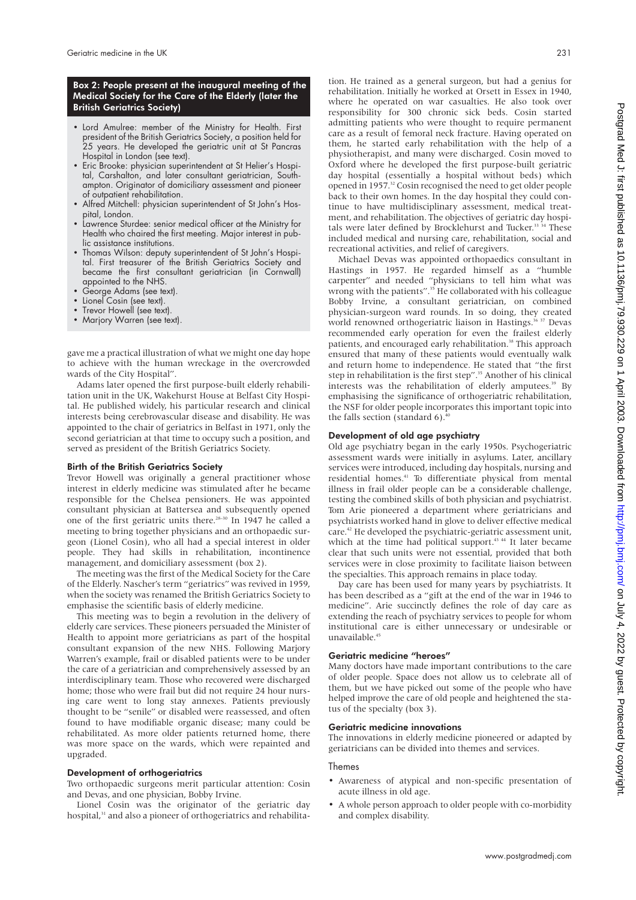#### Box 2: People present at the inaugural meeting of the Medical Society for the Care of the Elderly (later the British Geriatrics Society)

- Lord Amulree: member of the Ministry for Health. First president of the British Geriatrics Society, a position held for 25 years. He developed the geriatric unit at St Pancras Hospital in London (see text).
- Eric Brooke: physician superintendent at St Helier's Hospital, Carshalton, and later consultant geriatrician, Southampton. Originator of domiciliary assessment and pioneer of outpatient rehabilitation.
- Alfred Mitchell: physician superintendent of St John's Hospital, London.
- Lawrence Sturdee: senior medical officer at the Ministry for Health who chaired the first meeting. Major interest in public assistance institutions.
- Thomas Wilson: deputy superintendent of St John's Hospital. First treasurer of the British Geriatrics Society and became the first consultant geriatrician (in Cornwall) appointed to the NHS.
- George Adams (see text).
- Lionel Cosin (see text).
- Trevor Howell (see text).
- Marjory Warren (see text).

gave me a practical illustration of what we might one day hope to achieve with the human wreckage in the overcrowded wards of the City Hospital".

Adams later opened the first purpose-built elderly rehabilitation unit in the UK, Wakehurst House at Belfast City Hospital. He published widely, his particular research and clinical interests being cerebrovascular disease and disability. He was appointed to the chair of geriatrics in Belfast in 1971, only the second geriatrician at that time to occupy such a position, and served as president of the British Geriatrics Society.

#### Birth of the British Geriatrics Society

Trevor Howell was originally a general practitioner whose interest in elderly medicine was stimulated after he became responsible for the Chelsea pensioners. He was appointed consultant physician at Battersea and subsequently opened one of the first geriatric units there.28–30 In 1947 he called a meeting to bring together physicians and an orthopaedic surgeon (Lionel Cosin), who all had a special interest in older people. They had skills in rehabilitation, incontinence management, and domiciliary assessment (box 2).

The meeting was the first of the Medical Society for the Care of the Elderly. Nascher's term "geriatrics" was revived in 1959, when the society was renamed the British Geriatrics Society to emphasise the scientific basis of elderly medicine.

This meeting was to begin a revolution in the delivery of elderly care services. These pioneers persuaded the Minister of Health to appoint more geriatricians as part of the hospital consultant expansion of the new NHS. Following Marjory Warren's example, frail or disabled patients were to be under the care of a geriatrician and comprehensively assessed by an interdisciplinary team. Those who recovered were discharged home; those who were frail but did not require 24 hour nursing care went to long stay annexes. Patients previously thought to be "senile" or disabled were reassessed, and often found to have modifiable organic disease; many could be rehabilitated. As more older patients returned home, there was more space on the wards, which were repainted and upgraded.

#### Development of orthogeriatrics

Two orthopaedic surgeons merit particular attention: Cosin and Devas, and one physician, Bobby Irvine.

Lionel Cosin was the originator of the geriatric day hospital,<sup>31</sup> and also a pioneer of orthogeriatrics and rehabilita-

tion. He trained as a general surgeon, but had a genius for rehabilitation. Initially he worked at Orsett in Essex in 1940, where he operated on war casualties. He also took over responsibility for 300 chronic sick beds. Cosin started admitting patients who were thought to require permanent care as a result of femoral neck fracture. Having operated on them, he started early rehabilitation with the help of a physiotherapist, and many were discharged. Cosin moved to Oxford where he developed the first purpose-built geriatric day hospital (essentially a hospital without beds) which opened in 1957.32 Cosin recognised the need to get older people back to their own homes. In the day hospital they could continue to have multidisciplinary assessment, medical treatment, and rehabilitation. The objectives of geriatric day hospitals were later defined by Brocklehurst and Tucker.<sup>33 34</sup> These included medical and nursing care, rehabilitation, social and recreational activities, and relief of caregivers.

Michael Devas was appointed orthopaedics consultant in Hastings in 1957. He regarded himself as a "humble carpenter" and needed "physicians to tell him what was wrong with the patients".<sup>35</sup> He collaborated with his colleague Bobby Irvine, a consultant geriatrician, on combined physician-surgeon ward rounds. In so doing, they created world renowned orthogeriatric liaison in Hastings.<sup>36</sup> 37 Devas recommended early operation for even the frailest elderly patients, and encouraged early rehabilitation.<sup>38</sup> This approach ensured that many of these patients would eventually walk and return home to independence. He stated that "the first step in rehabilitation is the first step".<sup>35</sup> Another of his clinical interests was the rehabilitation of elderly amputees.<sup>39</sup> By emphasising the significance of orthogeriatric rehabilitation, the NSF for older people incorporates this important topic into the falls section (standard  $6$ ).<sup>4</sup>

#### Development of old age psychiatry

Old age psychiatry began in the early 1950s. Psychogeriatric assessment wards were initially in asylums. Later, ancillary services were introduced, including day hospitals, nursing and residential homes.41 To differentiate physical from mental illness in frail older people can be a considerable challenge, testing the combined skills of both physician and psychiatrist. Tom Arie pioneered a department where geriatricians and psychiatrists worked hand in glove to deliver effective medical care.<sup>42</sup> He developed the psychiatric-geriatric assessment unit, which at the time had political support.<sup>43 44</sup> It later became clear that such units were not essential, provided that both services were in close proximity to facilitate liaison between the specialties. This approach remains in place today.

Day care has been used for many years by psychiatrists. It has been described as a "gift at the end of the war in 1946 to medicine". Arie succinctly defines the role of day care as extending the reach of psychiatry services to people for whom institutional care is either unnecessary or undesirable or unavailable.<sup>4</sup>

#### Geriatric medicine "heroes"

Many doctors have made important contributions to the care of older people. Space does not allow us to celebrate all of them, but we have picked out some of the people who have helped improve the care of old people and heightened the status of the specialty (box 3).

#### Geriatric medicine innovations

The innovations in elderly medicine pioneered or adapted by geriatricians can be divided into themes and services.

#### Themes

- Awareness of atypical and non-specific presentation of acute illness in old age.
- A whole person approach to older people with co-morbidity and complex disability.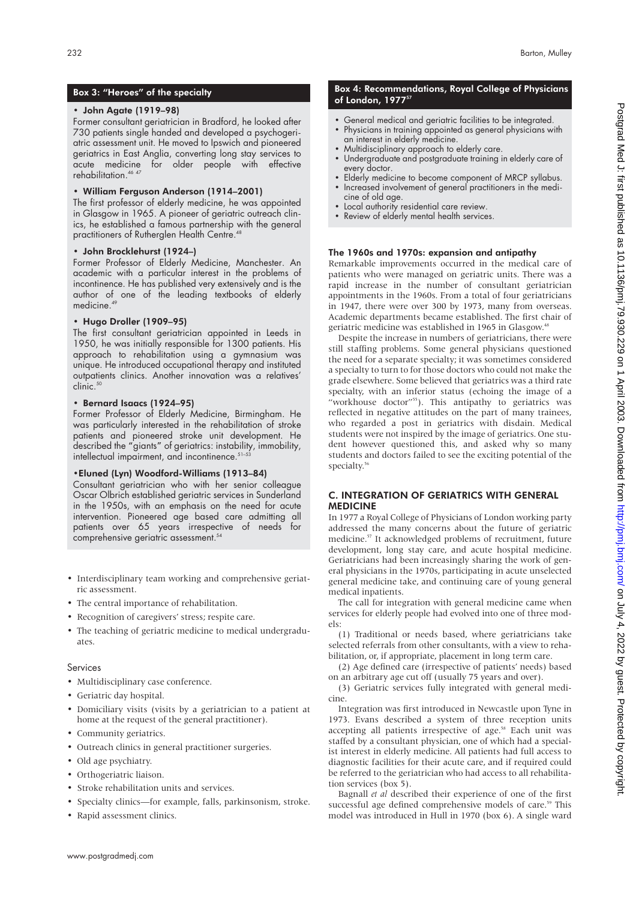# Box 3: "Heroes" of the specialty

#### **•** John Agate (1919–98)

Former consultant geriatrician in Bradford, he looked after 730 patients single handed and developed a psychogeriatric assessment unit. He moved to Ipswich and pioneered geriatrics in East Anglia, converting long stay services to acute medicine for older people with effective rehabilitation.<sup>46 47</sup>

# **•** William Ferguson Anderson (1914–2001)

The first professor of elderly medicine, he was appointed in Glasgow in 1965. A pioneer of geriatric outreach clinics, he established a famous partnership with the general practitioners of Rutherglen Health Centre.<sup>4</sup>

#### **•** John Brocklehurst (1924–)

Former Professor of Elderly Medicine, Manchester. An academic with a particular interest in the problems of incontinence. He has published very extensively and is the author of one of the leading textbooks of elderly medicine.<sup>49</sup>

# **•** Hugo Droller (1909–95)

The first consultant geriatrician appointed in Leeds in 1950, he was initially responsible for 1300 patients. His approach to rehabilitation using a gymnasium was unique. He introduced occupational therapy and instituted outpatients clinics. Another innovation was a relatives' clinic.<sup>50</sup>

# **•** Bernard Isaacs (1924–95)

Former Professor of Elderly Medicine, Birmingham. He was particularly interested in the rehabilitation of stroke patients and pioneered stroke unit development. He described the "giants" of geriatrics: instability, immobility, intellectual impairment, and incontinence.<sup>5</sup>

# •Eluned (Lyn) Woodford-Williams (1913–84)

Consultant geriatrician who with her senior colleague Oscar Olbrich established geriatric services in Sunderland in the 1950s, with an emphasis on the need for acute intervention. Pioneered age based care admitting all patients over 65 years irrespective of needs for comprehensive geriatric assessment.<sup>54</sup>

- Interdisciplinary team working and comprehensive geriatric assessment.
- The central importance of rehabilitation.
- Recognition of caregivers' stress; respite care.
- The teaching of geriatric medicine to medical undergraduates.

# Services

- Multidisciplinary case conference.
- Geriatric day hospital.
- Domiciliary visits (visits by a geriatrician to a patient at home at the request of the general practitioner).
- Community geriatrics.
- Outreach clinics in general practitioner surgeries.
- Old age psychiatry.
- Orthogeriatric liaison.
- Stroke rehabilitation units and services.
- Specialty clinics—for example, falls, parkinsonism, stroke.
- Rapid assessment clinics.

# Box 4: Recommendations, Royal College of Physicians of London, 1977<sup>57</sup>

- General medical and geriatric facilities to be integrated.
- Physicians in training appointed as general physicians with an interest in elderly medicine.
- Multidisciplinary approach to elderly care.
- Undergraduate and postgraduate training in elderly care of every doctor.
- Elderly medicine to become component of MRCP syllabus. • Increased involvement of general practitioners in the medi-
- cine of old age.
- Local authority residential care review. • Review of elderly mental health services.

# The 1960s and 1970s: expansion and antipathy

Remarkable improvements occurred in the medical care of patients who were managed on geriatric units. There was a rapid increase in the number of consultant geriatrician appointments in the 1960s. From a total of four geriatricians in 1947, there were over 300 by 1973, many from overseas. Academic departments became established. The first chair of geriatric medicine was established in 1965 in Glasgow.<sup>48</sup>

Despite the increase in numbers of geriatricians, there were still staffing problems. Some general physicians questioned the need for a separate specialty; it was sometimes considered a specialty to turn to for those doctors who could not make the grade elsewhere. Some believed that geriatrics was a third rate specialty, with an inferior status (echoing the image of a "workhouse doctor"<sup>55</sup>). This antipathy to geriatrics was reflected in negative attitudes on the part of many trainees, who regarded a post in geriatrics with disdain. Medical students were not inspired by the image of geriatrics. One student however questioned this, and asked why so many students and doctors failed to see the exciting potential of the specialty.<sup>5</sup>

# C. INTEGRATION OF GERIATRICS WITH GENERAL MEDICINE

In 1977 a Royal College of Physicians of London working party addressed the many concerns about the future of geriatric medicine.57 It acknowledged problems of recruitment, future development, long stay care, and acute hospital medicine. Geriatricians had been increasingly sharing the work of general physicians in the 1970s, participating in acute unselected general medicine take, and continuing care of young general medical inpatients.

The call for integration with general medicine came when services for elderly people had evolved into one of three models:

(1) Traditional or needs based, where geriatricians take selected referrals from other consultants, with a view to rehabilitation, or, if appropriate, placement in long term care.

(2) Age defined care (irrespective of patients' needs) based on an arbitrary age cut off (usually 75 years and over).

(3) Geriatric services fully integrated with general medicine.

Integration was first introduced in Newcastle upon Tyne in 1973. Evans described a system of three reception units accepting all patients irrespective of age.<sup>58</sup> Each unit was staffed by a consultant physician, one of which had a specialist interest in elderly medicine. All patients had full access to diagnostic facilities for their acute care, and if required could be referred to the geriatrician who had access to all rehabilitation services (box 5).

Bagnall *et al* described their experience of one of the first successful age defined comprehensive models of care.<sup>59</sup> This model was introduced in Hull in 1970 (box 6). A single ward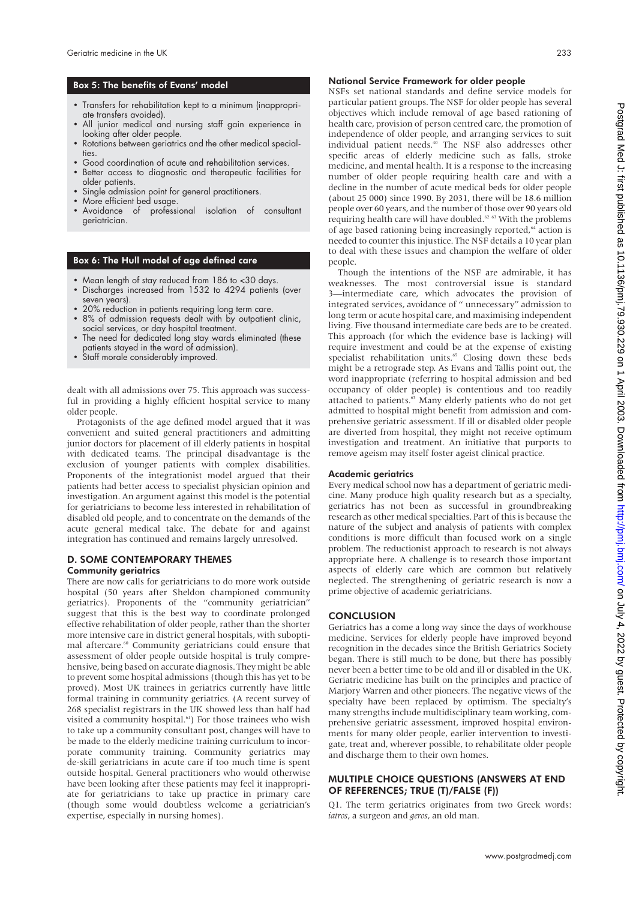#### Box 5: The benefits of Evans' model

- Transfers for rehabilitation kept to a minimum (inappropriate transfers avoided).
- All junior medical and nursing staff gain experience in looking after older people.
- Rotations between geriatrics and the other medical specialties.
- Good coordination of acute and rehabilitation services.
- Better access to diagnostic and therapeutic facilities for older patients.
- Single admission point for general practitioners.
- More efficient bed usage.
- Avoidance of professional isolation of consultant geriatrician.

#### Box 6: The Hull model of age defined care

- Mean length of stay reduced from 186 to <30 days.
- Discharges increased from 1532 to 4294 patients (over seven years).
- 20% reduction in patients requiring long term care.
- 8% of admission requests dealt with by outpatient clinic,
- social services, or day hospital treatment. • The need for dedicated long stay wards eliminated (these
- patients stayed in the ward of admission).
- Staff morale considerably improved.

dealt with all admissions over 75. This approach was successful in providing a highly efficient hospital service to many older people.

Protagonists of the age defined model argued that it was convenient and suited general practitioners and admitting junior doctors for placement of ill elderly patients in hospital with dedicated teams. The principal disadvantage is the exclusion of younger patients with complex disabilities. Proponents of the integrationist model argued that their patients had better access to specialist physician opinion and investigation. An argument against this model is the potential for geriatricians to become less interested in rehabilitation of disabled old people, and to concentrate on the demands of the acute general medical take. The debate for and against integration has continued and remains largely unresolved.

#### D. SOME CONTEMPORARY THEMES Community geriatrics

There are now calls for geriatricians to do more work outside hospital (50 years after Sheldon championed community geriatrics). Proponents of the "community geriatrician" suggest that this is the best way to coordinate prolonged effective rehabilitation of older people, rather than the shorter more intensive care in district general hospitals, with suboptimal aftercare.<sup>60</sup> Community geriatricians could ensure that assessment of older people outside hospital is truly comprehensive, being based on accurate diagnosis. They might be able to prevent some hospital admissions (though this has yet to be proved). Most UK trainees in geriatrics currently have little formal training in community geriatrics. (A recent survey of 268 specialist registrars in the UK showed less than half had visited a community hospital.<sup>61</sup>) For those trainees who wish to take up a community consultant post, changes will have to be made to the elderly medicine training curriculum to incorporate community training. Community geriatrics may de-skill geriatricians in acute care if too much time is spent outside hospital. General practitioners who would otherwise have been looking after these patients may feel it inappropriate for geriatricians to take up practice in primary care (though some would doubtless welcome a geriatrician's expertise, especially in nursing homes).

# National Service Framework for older people

NSFs set national standards and define service models for particular patient groups. The NSF for older people has several objectives which include removal of age based rationing of health care, provision of person centred care, the promotion of independence of older people, and arranging services to suit individual patient needs.40 The NSF also addresses other specific areas of elderly medicine such as falls, stroke medicine, and mental health. It is a response to the increasing number of older people requiring health care and with a decline in the number of acute medical beds for older people (about 25 000) since 1990. By 2031, there will be 18.6 million people over 60 years, and the number of those over 90 years old requiring health care will have doubled.<sup>62.63</sup> With the problems of age based rationing being increasingly reported,<sup>64</sup> action is needed to counter this injustice. The NSF details a 10 year plan to deal with these issues and champion the welfare of older people.

Though the intentions of the NSF are admirable, it has weaknesses. The most controversial issue is standard 3—intermediate care, which advocates the provision of integrated services, avoidance of " unnecessary" admission to long term or acute hospital care, and maximising independent living. Five thousand intermediate care beds are to be created. This approach (for which the evidence base is lacking) will require investment and could be at the expense of existing specialist rehabilitation units.<sup>65</sup> Closing down these beds might be a retrograde step. As Evans and Tallis point out, the word inappropriate (referring to hospital admission and bed occupancy of older people) is contentious and too readily attached to patients.<sup>65</sup> Many elderly patients who do not get admitted to hospital might benefit from admission and comprehensive geriatric assessment. If ill or disabled older people are diverted from hospital, they might not receive optimum investigation and treatment. An initiative that purports to remove ageism may itself foster ageist clinical practice.

#### Academic geriatrics

Every medical school now has a department of geriatric medicine. Many produce high quality research but as a specialty, geriatrics has not been as successful in groundbreaking research as other medical specialties. Part of this is because the nature of the subject and analysis of patients with complex conditions is more difficult than focused work on a single problem. The reductionist approach to research is not always appropriate here. A challenge is to research those important aspects of elderly care which are common but relatively neglected. The strengthening of geriatric research is now a prime objective of academic geriatricians.

# **CONCLUSION**

Geriatrics has a come a long way since the days of workhouse medicine. Services for elderly people have improved beyond recognition in the decades since the British Geriatrics Society began. There is still much to be done, but there has possibly never been a better time to be old and ill or disabled in the UK. Geriatric medicine has built on the principles and practice of Marjory Warren and other pioneers. The negative views of the specialty have been replaced by optimism. The specialty's many strengths include multidisciplinary team working, comprehensive geriatric assessment, improved hospital environments for many older people, earlier intervention to investigate, treat and, wherever possible, to rehabilitate older people and discharge them to their own homes.

# MULTIPLE CHOICE QUESTIONS (ANSWERS AT END OF REFERENCES; TRUE (T)/FALSE (F))

Q1. The term geriatrics originates from two Greek words: *iatros*, a surgeon and *geros*, an old man.

Postgrad Med J: first published as 10.1136/pmj.79.930.229 on 1 April 2003. Downloaded from http://pmj.com/ on July 4, 2022 by guest. Protected by copyright on July 4, 2022 by guest. Protected by copyright. <http://pmj.bmj.com/> Postgrad Med J: first published as 10.1136/pmj.79.930.229 on 1 April 2003. Downloaded from